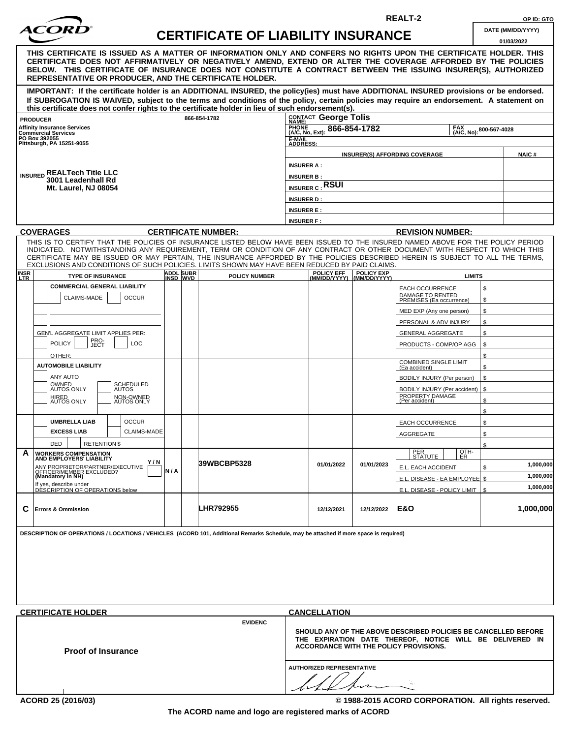| <b>ACORD</b> |
|--------------|
|              |

## **CERTIFICATE OF LIABILITY INSURANCE**  $\begin{bmatrix} 0 & 0 \\ 0 & 0 \end{bmatrix}$

**REALT-2 OP ID: GTO**

| <b>DATE (MM/DD/YYYY)</b> |  |
|--------------------------|--|
|                          |  |

|                                                                                                                                                                                                                                                                                                                                                                                                                  |     |                       |                            |                                                                                                                                                                      |                                                               |                            |                                                     |      | 01/03/2022 |  |
|------------------------------------------------------------------------------------------------------------------------------------------------------------------------------------------------------------------------------------------------------------------------------------------------------------------------------------------------------------------------------------------------------------------|-----|-----------------------|----------------------------|----------------------------------------------------------------------------------------------------------------------------------------------------------------------|---------------------------------------------------------------|----------------------------|-----------------------------------------------------|------|------------|--|
| THIS CERTIFICATE IS ISSUED AS A MATTER OF INFORMATION ONLY AND CONFERS NO RIGHTS UPON THE CERTIFICATE HOLDER. THIS<br>CERTIFICATE DOES NOT AFFIRMATIVELY OR NEGATIVELY AMEND, EXTEND OR ALTER THE COVERAGE AFFORDED BY THE POLICIES<br>BELOW. THIS CERTIFICATE OF INSURANCE DOES NOT CONSTITUTE A CONTRACT BETWEEN THE ISSUING INSURER(S), AUTHORIZED<br>REPRESENTATIVE OR PRODUCER, AND THE CERTIFICATE HOLDER. |     |                       |                            |                                                                                                                                                                      |                                                               |                            |                                                     |      |            |  |
| IMPORTANT: If the certificate holder is an ADDITIONAL INSURED, the policy(ies) must have ADDITIONAL INSURED provisions or be endorsed.<br>If SUBROGATION IS WAIVED, subject to the terms and conditions of the policy, certain policies may require an endorsement. A statement on<br>this certificate does not confer rights to the certificate holder in lieu of such endorsement(s).                          |     |                       |                            |                                                                                                                                                                      |                                                               |                            |                                                     |      |            |  |
|                                                                                                                                                                                                                                                                                                                                                                                                                  |     |                       | 866-854-1782               |                                                                                                                                                                      | CONTACT George Tolis                                          |                            |                                                     |      |            |  |
| <b>PRODUCER</b><br><b>Affinity Insurance Services</b>                                                                                                                                                                                                                                                                                                                                                            |     |                       |                            | <b>PHONE</b>                                                                                                                                                         |                                                               |                            | FAX                                                 |      |            |  |
| Commercial Services<br>PO Box 392055                                                                                                                                                                                                                                                                                                                                                                             |     |                       |                            |                                                                                                                                                                      | 866-854-1782<br>800-567-4028<br>(A/C, No, Ext):<br>(A/C, No): |                            |                                                     |      |            |  |
| Pittsburgh. PA 15251-9055                                                                                                                                                                                                                                                                                                                                                                                        |     |                       |                            | E-MAIL<br>ADDRESS:                                                                                                                                                   |                                                               |                            |                                                     |      |            |  |
|                                                                                                                                                                                                                                                                                                                                                                                                                  |     |                       |                            |                                                                                                                                                                      | <b>NAIC#</b>                                                  |                            |                                                     |      |            |  |
|                                                                                                                                                                                                                                                                                                                                                                                                                  |     |                       |                            |                                                                                                                                                                      | <b>INSURER A:</b>                                             |                            |                                                     |      |            |  |
| <b>INSURED REALTech Title LLC</b><br>3001 Leadenhall Rd                                                                                                                                                                                                                                                                                                                                                          |     |                       |                            | <b>INSURER B:</b>                                                                                                                                                    |                                                               |                            |                                                     |      |            |  |
| <b>Mt. Laurel, NJ 08054</b>                                                                                                                                                                                                                                                                                                                                                                                      |     |                       |                            | <b>INSURER C: RSUI</b>                                                                                                                                               |                                                               |                            |                                                     |      |            |  |
|                                                                                                                                                                                                                                                                                                                                                                                                                  |     |                       |                            | <b>INSURER D:</b>                                                                                                                                                    |                                                               |                            |                                                     |      |            |  |
|                                                                                                                                                                                                                                                                                                                                                                                                                  |     |                       |                            | <b>INSURER E:</b>                                                                                                                                                    |                                                               |                            |                                                     |      |            |  |
|                                                                                                                                                                                                                                                                                                                                                                                                                  |     |                       |                            | <b>INSURER F:</b>                                                                                                                                                    |                                                               |                            |                                                     |      |            |  |
| <b>COVERAGES</b>                                                                                                                                                                                                                                                                                                                                                                                                 |     |                       | <b>CERTIFICATE NUMBER:</b> |                                                                                                                                                                      |                                                               |                            | <b>REVISION NUMBER:</b>                             |      |            |  |
| THIS IS TO CERTIFY THAT THE POLICIES OF INSURANCE LISTED BELOW HAVE BEEN ISSUED TO THE INSURED NAMED ABOVE FOR THE POLICY PERIOD                                                                                                                                                                                                                                                                                 |     |                       |                            |                                                                                                                                                                      |                                                               |                            |                                                     |      |            |  |
| INDICATED. NOTWITHSTANDING ANY REQUIREMENT, TERM OR CONDITION OF ANY CONTRACT OR OTHER DOCUMENT WITH RESPECT TO WHICH THIS<br>CERTIFICATE MAY BE ISSUED OR MAY PERTAIN, THE INSURANCE AFFORDED BY THE POLICIES DESCRIBED HEREIN IS SUBJECT TO ALL THE TERMS,<br>EXCLUSIONS AND CONDITIONS OF SUCH POLICIES. LIMITS SHOWN MAY HAVE BEEN REDUCED BY PAID CLAIMS.                                                   |     |                       |                            |                                                                                                                                                                      |                                                               |                            |                                                     |      |            |  |
| <b>INSR</b><br>LTR<br><b>TYPE OF INSURANCE</b>                                                                                                                                                                                                                                                                                                                                                                   |     | ADDL SUBR<br>INSD_WVD | <b>POLICY NUMBER</b>       |                                                                                                                                                                      | POLICY EFF<br>(MM/DD/YYYY)                                    | POLICY EXP<br>(MM/DD/YYYY) | <b>LIMITS</b>                                       |      |            |  |
| <b>COMMERCIAL GENERAL LIABILITY</b>                                                                                                                                                                                                                                                                                                                                                                              |     |                       |                            |                                                                                                                                                                      |                                                               |                            | EACH OCCURRENCE                                     | \$   |            |  |
| CLAIMS-MADE<br><b>OCCUR</b>                                                                                                                                                                                                                                                                                                                                                                                      |     |                       |                            |                                                                                                                                                                      |                                                               |                            | DAMAGE TO RENTED<br><b>PREMISES (Ea occurrence)</b> | \$   |            |  |
|                                                                                                                                                                                                                                                                                                                                                                                                                  |     |                       |                            |                                                                                                                                                                      |                                                               |                            | MED EXP (Any one person)                            | \$   |            |  |
|                                                                                                                                                                                                                                                                                                                                                                                                                  |     |                       |                            |                                                                                                                                                                      |                                                               |                            | PERSONAL & ADV INJURY                               | \$   |            |  |
| GEN'L AGGREGATE LIMIT APPLIES PER:                                                                                                                                                                                                                                                                                                                                                                               |     |                       |                            |                                                                                                                                                                      |                                                               |                            | GENERAL AGGREGATE                                   | \$   |            |  |
| PRO-<br>JECT<br><b>POLICY</b><br>LOC                                                                                                                                                                                                                                                                                                                                                                             |     |                       |                            |                                                                                                                                                                      |                                                               |                            | PRODUCTS - COMP/OP AGG                              | \$   |            |  |
| OTHER:                                                                                                                                                                                                                                                                                                                                                                                                           |     |                       |                            |                                                                                                                                                                      |                                                               |                            |                                                     | \$   |            |  |
| <b>AUTOMOBILE LIABILITY</b>                                                                                                                                                                                                                                                                                                                                                                                      |     |                       |                            |                                                                                                                                                                      |                                                               |                            | <b>COMBINED SINGLE LIMIT</b>                        | \$   |            |  |
| ANY AUTO                                                                                                                                                                                                                                                                                                                                                                                                         |     |                       |                            |                                                                                                                                                                      |                                                               |                            | (Ea accident)                                       |      |            |  |
| OWNED<br>SCHEDULED                                                                                                                                                                                                                                                                                                                                                                                               |     |                       |                            |                                                                                                                                                                      |                                                               |                            | BODILY INJURY (Per person)                          | \$   |            |  |
| AUTOS ONLY<br><b>AUTOS</b><br>HIRED<br>AUTOS ONLY<br>NON-OWNED<br>AUTOS ONLY                                                                                                                                                                                                                                                                                                                                     |     |                       |                            |                                                                                                                                                                      |                                                               |                            | BODILY INJURY (Per accident)<br>PROPERTY DAMAGE     | \$   |            |  |
|                                                                                                                                                                                                                                                                                                                                                                                                                  |     |                       |                            |                                                                                                                                                                      |                                                               |                            | (Per accident)                                      | \$   |            |  |
| <b>OCCUR</b><br><b>UMBRELLA LIAB</b>                                                                                                                                                                                                                                                                                                                                                                             |     |                       |                            |                                                                                                                                                                      |                                                               |                            |                                                     | £.   |            |  |
| <b>EXCESS LIAB</b><br><b>CLAIMS-MADE</b>                                                                                                                                                                                                                                                                                                                                                                         |     |                       |                            |                                                                                                                                                                      |                                                               |                            | EACH OCCURRENCE                                     | \$   |            |  |
|                                                                                                                                                                                                                                                                                                                                                                                                                  |     |                       |                            |                                                                                                                                                                      |                                                               |                            | AGGREGATE                                           | \$   |            |  |
| <b>RETENTION \$</b><br><b>DED</b><br>A<br><b>WORKERS COMPENSATION</b>                                                                                                                                                                                                                                                                                                                                            |     |                       |                            |                                                                                                                                                                      |                                                               |                            | PER<br>OTH-                                         | ፍ    |            |  |
| <b>AND EMPLOYERS' LIABILITY</b><br>Y/N                                                                                                                                                                                                                                                                                                                                                                           |     |                       | 39WBCBP5328                |                                                                                                                                                                      | 01/01/2022                                                    | 01/01/2023                 | <u>  SIAIUIE           ER</u>                       |      | 1,000,000  |  |
| ANY PROPRIETOR/PARTNER/EXECUTIVE<br>OFFICER/MEMBER EXCLUDED?<br><b>(Mandatory in NH)</b>                                                                                                                                                                                                                                                                                                                         | N/A |                       |                            |                                                                                                                                                                      |                                                               |                            | E.L. EACH ACCIDENT                                  | \$   | 1.000.000  |  |
| If yes, describe under                                                                                                                                                                                                                                                                                                                                                                                           |     |                       |                            |                                                                                                                                                                      |                                                               |                            | E.L. DISEASE - EA EMPLOYEE \$                       |      |            |  |
| DÉSCRIPTION OF OPERATIONS below                                                                                                                                                                                                                                                                                                                                                                                  |     |                       |                            |                                                                                                                                                                      |                                                               |                            | E.L. DISEASE - POLICY LIMIT                         | - \$ | 1,000,000  |  |
| C<br><b>Errors &amp; Ommission</b>                                                                                                                                                                                                                                                                                                                                                                               |     |                       | <b>LHR792955</b>           |                                                                                                                                                                      | 12/12/2021                                                    | 12/12/2022                 | E&O                                                 |      | 1,000,000  |  |
| DESCRIPTION OF OPERATIONS / LOCATIONS / VEHICLES (ACORD 101, Additional Remarks Schedule, may be attached if more space is required)                                                                                                                                                                                                                                                                             |     |                       |                            |                                                                                                                                                                      |                                                               |                            |                                                     |      |            |  |
|                                                                                                                                                                                                                                                                                                                                                                                                                  |     |                       |                            |                                                                                                                                                                      |                                                               |                            |                                                     |      |            |  |
| <b>CERTIFICATE HOLDER</b>                                                                                                                                                                                                                                                                                                                                                                                        |     |                       |                            |                                                                                                                                                                      | <b>CANCELLATION</b>                                           |                            |                                                     |      |            |  |
| <b>EVIDENC</b><br><b>Proof of Insurance</b>                                                                                                                                                                                                                                                                                                                                                                      |     |                       |                            | SHOULD ANY OF THE ABOVE DESCRIBED POLICIES BE CANCELLED BEFORE<br>THE EXPIRATION DATE THEREOF, NOTICE WILL BE DELIVERED IN<br>ACCORDANCE WITH THE POLICY PROVISIONS. |                                                               |                            |                                                     |      |            |  |
|                                                                                                                                                                                                                                                                                                                                                                                                                  |     |                       |                            | <b>AUTHORIZED REPRESENTATIVE</b>                                                                                                                                     |                                                               |                            |                                                     |      |            |  |
|                                                                                                                                                                                                                                                                                                                                                                                                                  |     |                       |                            |                                                                                                                                                                      |                                                               |                            |                                                     |      |            |  |

**ACORD 25 (2016/03) © 1988-2015 ACORD CORPORATION. All rights reserved.**